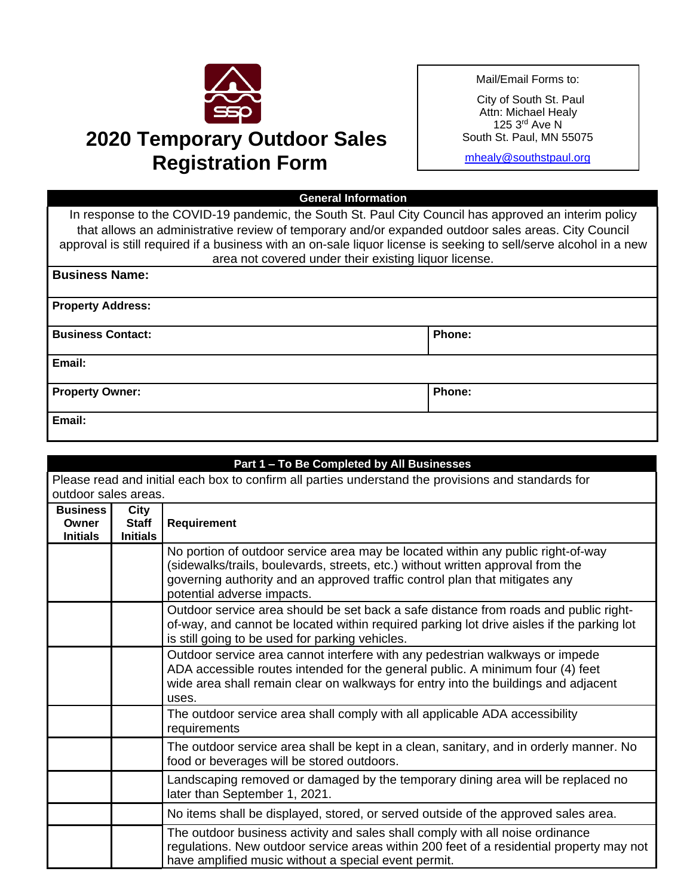

## **2020 Temporary Outdoor Sales Registration Form**

Mail/Email Forms to:

City of South St. Paul Attn: Michael Healy 125 3rd Ave N South St. Paul, MN 55075

[mhealy@southstpaul.org](mailto:mhealy@southstpaul.org)

## **General Information**

In response to the COVID-19 pandemic, the South St. Paul City Council has approved an interim policy that allows an administrative review of temporary and/or expanded outdoor sales areas. City Council approval is still required if a business with an on-sale liquor license is seeking to sell/serve alcohol in a new area not covered under their existing liquor license.

| <b>Business Name:</b>    |        |
|--------------------------|--------|
| <b>Property Address:</b> |        |
| <b>Business Contact:</b> | Phone: |
| Email:                   |        |
| <b>Property Owner:</b>   | Phone: |
| Email:                   |        |

| Part 1 - To Be Completed by All Businesses                                                          |                                 |                                                                                                                                                                                                                                                                                  |  |  |  |
|-----------------------------------------------------------------------------------------------------|---------------------------------|----------------------------------------------------------------------------------------------------------------------------------------------------------------------------------------------------------------------------------------------------------------------------------|--|--|--|
| Please read and initial each box to confirm all parties understand the provisions and standards for |                                 |                                                                                                                                                                                                                                                                                  |  |  |  |
|                                                                                                     | outdoor sales areas.            |                                                                                                                                                                                                                                                                                  |  |  |  |
| <b>Business</b>                                                                                     | City                            |                                                                                                                                                                                                                                                                                  |  |  |  |
| Owner<br><b>Initials</b>                                                                            | <b>Staff</b><br><b>Initials</b> | <b>Requirement</b>                                                                                                                                                                                                                                                               |  |  |  |
|                                                                                                     |                                 | No portion of outdoor service area may be located within any public right-of-way<br>(sidewalks/trails, boulevards, streets, etc.) without written approval from the<br>governing authority and an approved traffic control plan that mitigates any<br>potential adverse impacts. |  |  |  |
|                                                                                                     |                                 | Outdoor service area should be set back a safe distance from roads and public right-<br>of-way, and cannot be located within required parking lot drive aisles if the parking lot<br>is still going to be used for parking vehicles.                                             |  |  |  |
|                                                                                                     |                                 | Outdoor service area cannot interfere with any pedestrian walkways or impede<br>ADA accessible routes intended for the general public. A minimum four (4) feet<br>wide area shall remain clear on walkways for entry into the buildings and adjacent<br>uses.                    |  |  |  |
|                                                                                                     |                                 | The outdoor service area shall comply with all applicable ADA accessibility<br>requirements                                                                                                                                                                                      |  |  |  |
|                                                                                                     |                                 | The outdoor service area shall be kept in a clean, sanitary, and in orderly manner. No<br>food or beverages will be stored outdoors.                                                                                                                                             |  |  |  |
|                                                                                                     |                                 | Landscaping removed or damaged by the temporary dining area will be replaced no<br>later than September 1, 2021.                                                                                                                                                                 |  |  |  |
|                                                                                                     |                                 | No items shall be displayed, stored, or served outside of the approved sales area.                                                                                                                                                                                               |  |  |  |
|                                                                                                     |                                 | The outdoor business activity and sales shall comply with all noise ordinance<br>regulations. New outdoor service areas within 200 feet of a residential property may not<br>have amplified music without a special event permit.                                                |  |  |  |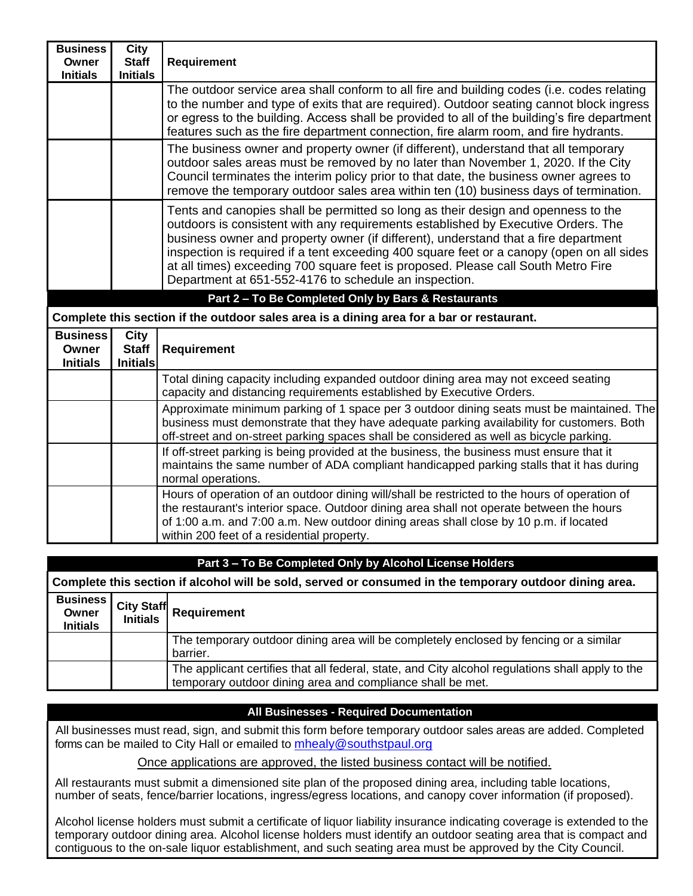| <b>Business</b><br>Owner<br><b>Initials</b> | City<br><b>Staff</b><br><b>Initials</b> | <b>Requirement</b>                                                                                                                                                                                                                                                                                                                                                                                                                                                                                       |
|---------------------------------------------|-----------------------------------------|----------------------------------------------------------------------------------------------------------------------------------------------------------------------------------------------------------------------------------------------------------------------------------------------------------------------------------------------------------------------------------------------------------------------------------------------------------------------------------------------------------|
|                                             |                                         | The outdoor service area shall conform to all fire and building codes (i.e. codes relating<br>to the number and type of exits that are required). Outdoor seating cannot block ingress<br>or egress to the building. Access shall be provided to all of the building's fire department<br>features such as the fire department connection, fire alarm room, and fire hydrants.                                                                                                                           |
|                                             |                                         | The business owner and property owner (if different), understand that all temporary<br>outdoor sales areas must be removed by no later than November 1, 2020. If the City<br>Council terminates the interim policy prior to that date, the business owner agrees to<br>remove the temporary outdoor sales area within ten (10) business days of termination.                                                                                                                                             |
|                                             |                                         | Tents and canopies shall be permitted so long as their design and openness to the<br>outdoors is consistent with any requirements established by Executive Orders. The<br>business owner and property owner (if different), understand that a fire department<br>inspection is required if a tent exceeding 400 square feet or a canopy (open on all sides<br>at all times) exceeding 700 square feet is proposed. Please call South Metro Fire<br>Department at 651-552-4176 to schedule an inspection. |
|                                             |                                         | Part 2 - To Be Completed Only by Bars & Restaurants                                                                                                                                                                                                                                                                                                                                                                                                                                                      |
|                                             |                                         | Complete this section if the outdoor sales area is a dining area for a bar or restaurant.                                                                                                                                                                                                                                                                                                                                                                                                                |
| <b>Business</b><br>Owner<br><b>Initials</b> | City<br><b>Staff</b><br><b>Initials</b> | <b>Requirement</b>                                                                                                                                                                                                                                                                                                                                                                                                                                                                                       |
|                                             |                                         | Total dining capacity including expanded outdoor dining area may not exceed seating<br>capacity and distancing requirements established by Executive Orders.                                                                                                                                                                                                                                                                                                                                             |
|                                             |                                         | Approximate minimum parking of 1 space per 3 outdoor dining seats must be maintained. The<br>business must demonstrate that they have adequate parking availability for customers. Both<br>off-street and on-street parking spaces shall be considered as well as bicycle parking.                                                                                                                                                                                                                       |
|                                             |                                         | If off-street parking is being provided at the business, the business must ensure that it<br>maintains the same number of ADA compliant handicapped parking stalls that it has during<br>normal operations.                                                                                                                                                                                                                                                                                              |
|                                             |                                         | Hours of operation of an outdoor dining will/shall be restricted to the hours of operation of<br>the restaurant's interior space. Outdoor dining area shall not operate between the hours<br>of 1:00 a.m. and 7:00 a.m. New outdoor dining areas shall close by 10 p.m. if located<br>within 200 feet of a residential property.                                                                                                                                                                         |

| Part 3 - To Be Completed Only by Alcohol License Holders                                                |                                      |                                                                                                                                                                |  |  |  |
|---------------------------------------------------------------------------------------------------------|--------------------------------------|----------------------------------------------------------------------------------------------------------------------------------------------------------------|--|--|--|
| Complete this section if alcohol will be sold, served or consumed in the temporary outdoor dining area. |                                      |                                                                                                                                                                |  |  |  |
| <b>Business</b><br>Owner<br><b>Initials</b>                                                             | <b>City Staff</b><br><b>Initials</b> | <b>Requirement</b>                                                                                                                                             |  |  |  |
|                                                                                                         |                                      | The temporary outdoor dining area will be completely enclosed by fencing or a similar<br>barrier.                                                              |  |  |  |
|                                                                                                         |                                      | The applicant certifies that all federal, state, and City alcohol regulations shall apply to the<br>temporary outdoor dining area and compliance shall be met. |  |  |  |

## **All Businesses - Required Documentation**

 All businesses must read, sign, and submit this form before temporary outdoor sales areas are added. Completed forms can be mailed to City Hall or emailed to [mhealy@southstpaul.org](mailto:mhealy@southstpaul.org)

Once applications are approved, the listed business contact will be notified.

All restaurants must submit a dimensioned site plan of the proposed dining area, including table locations, number of seats, fence/barrier locations, ingress/egress locations, and canopy cover information (if proposed).

Alcohol license holders must submit a certificate of liquor liability insurance indicating coverage is extended to the temporary outdoor dining area. Alcohol license holders must identify an outdoor seating area that is compact and contiguous to the on-sale liquor establishment, and such seating area must be approved by the City Council.